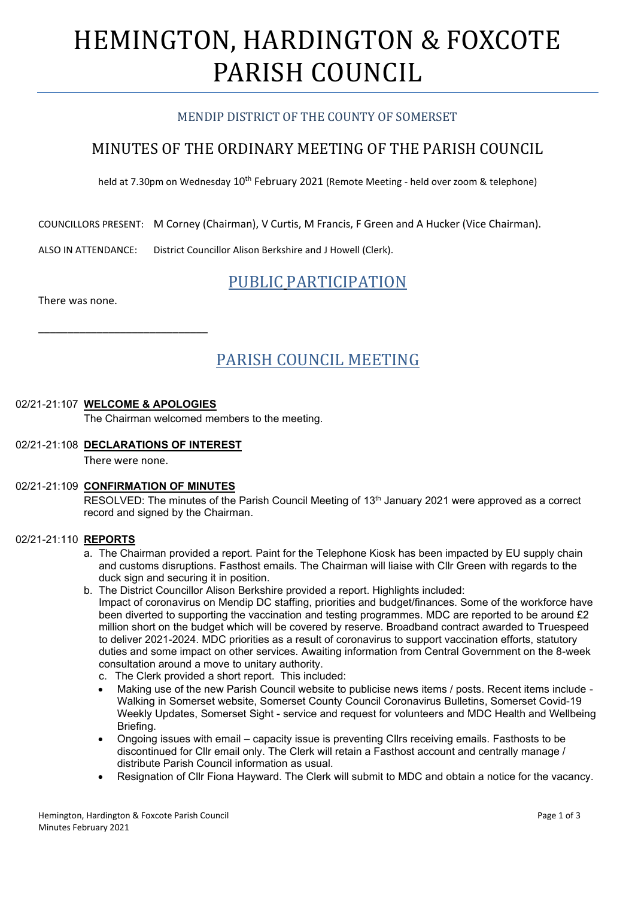# HEMINGTON, HARDINGTON & FOXCOTE PARISH COUNCIL

# MENDIP DISTRICT OF THE COUNTY OF SOMERSET

# MINUTES OF THE ORDINARY MEETING OF THE PARISH COUNCIL

held at 7.30pm on Wednesday 10<sup>th</sup> February 2021 (Remote Meeting - held over zoom & telephone)

COUNCILLORS PRESENT: M Corney (Chairman), V Curtis, M Francis, F Green and A Hucker (Vice Chairman).

ALSO IN ATTENDANCE: District Councillor Alison Berkshire and J Howell (Clerk).

# PUBLIC PARTICIPATION

There was none.

# PARISH COUNCIL MEETING

## 02/21-21:107 **WELCOME & APOLOGIES**

\_\_\_\_\_\_\_\_\_\_\_\_\_\_\_\_\_\_\_\_\_\_\_\_\_\_\_\_\_

The Chairman welcomed members to the meeting.

### 02/21-21:108 **DECLARATIONS OF INTEREST**

There were none.

## 02/21-21:109 **CONFIRMATION OF MINUTES**

RESOLVED: The minutes of the Parish Council Meeting of 13<sup>th</sup> January 2021 were approved as a correct record and signed by the Chairman.

#### 02/21-21:110 **REPORTS**

- a. The Chairman provided a report. Paint for the Telephone Kiosk has been impacted by EU supply chain and customs disruptions. Fasthost emails. The Chairman will liaise with Cllr Green with regards to the duck sign and securing it in position.
- b. The District Councillor Alison Berkshire provided a report. Highlights included: Impact of coronavirus on Mendip DC staffing, priorities and budget/finances. Some of the workforce have been diverted to supporting the vaccination and testing programmes. MDC are reported to be around £2 million short on the budget which will be covered by reserve. Broadband contract awarded to Truespeed to deliver 2021-2024. MDC priorities as a result of coronavirus to support vaccination efforts, statutory duties and some impact on other services. Awaiting information from Central Government on the 8-week consultation around a move to unitary authority.
	- c. The Clerk provided a short report. This included:
	- Making use of the new Parish Council website to publicise news items / posts. Recent items include Walking in Somerset website, Somerset County Council Coronavirus Bulletins, Somerset Covid-19 Weekly Updates, Somerset Sight - service and request for volunteers and MDC Health and Wellbeing Briefing.
	- Ongoing issues with email capacity issue is preventing Cllrs receiving emails. Fasthosts to be discontinued for Cllr email only. The Clerk will retain a Fasthost account and centrally manage / distribute Parish Council information as usual.
	- Resignation of Cllr Fiona Hayward. The Clerk will submit to MDC and obtain a notice for the vacancy.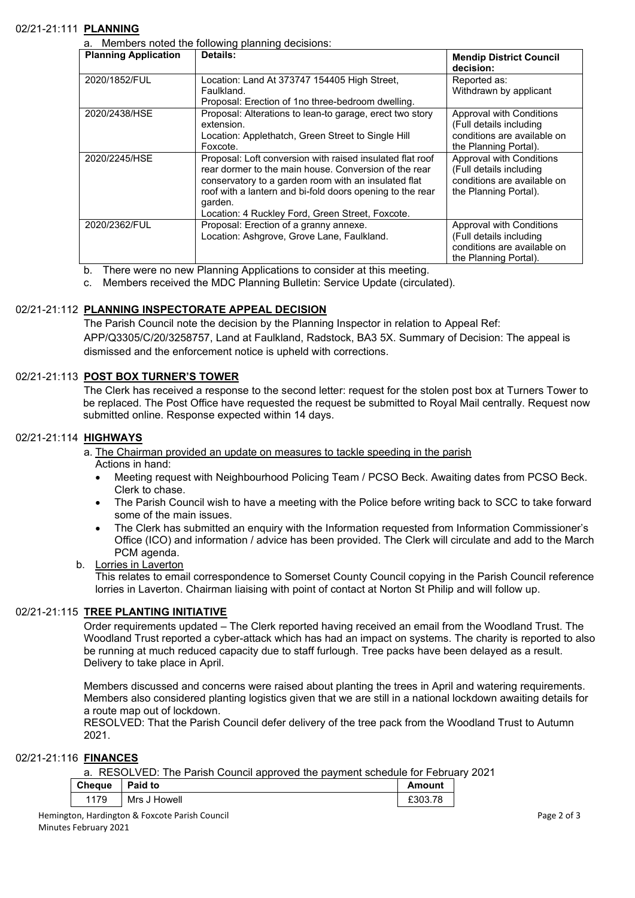#### 02/21-21:111 **PLANNING**

a. Members noted the following planning decisions:

| <b>Planning Application</b> | Details:                                                  | <b>Mendip District Council</b><br>decision: |
|-----------------------------|-----------------------------------------------------------|---------------------------------------------|
|                             |                                                           |                                             |
| 2020/1852/FUL               | Location: Land At 373747 154405 High Street,              | Reported as:                                |
|                             | Faulkland.                                                | Withdrawn by applicant                      |
|                             | Proposal: Erection of 1no three-bedroom dwelling.         |                                             |
| 2020/2438/HSE               | Proposal: Alterations to lean-to garage, erect two story  | Approval with Conditions                    |
|                             | extension.                                                | (Full details including                     |
|                             | Location: Applethatch, Green Street to Single Hill        | conditions are available on                 |
|                             | Foxcote.                                                  | the Planning Portal).                       |
| 2020/2245/HSE               | Proposal: Loft conversion with raised insulated flat roof | Approval with Conditions                    |
|                             | rear dormer to the main house. Conversion of the rear     | (Full details including                     |
|                             | conservatory to a garden room with an insulated flat      | conditions are available on                 |
|                             | roof with a lantern and bi-fold doors opening to the rear | the Planning Portal).                       |
|                             | garden.                                                   |                                             |
|                             | Location: 4 Ruckley Ford, Green Street, Foxcote.          |                                             |
| 2020/2362/FUL               | Proposal: Erection of a granny annexe.                    | Approval with Conditions                    |
|                             | Location: Ashgrove, Grove Lane, Faulkland.                | (Full details including                     |
|                             |                                                           | conditions are available on                 |
|                             |                                                           | the Planning Portal).                       |

b. There were no new Planning Applications to consider at this meeting.

c. Members received the MDC Planning Bulletin: Service Update (circulated).

#### 02/21-21:112 **PLANNING INSPECTORATE APPEAL DECISION**

The Parish Council note the decision by the Planning Inspector in relation to Appeal Ref: APP/Q3305/C/20/3258757, Land at Faulkland, Radstock, BA3 5X. Summary of Decision: The appeal is dismissed and the enforcement notice is upheld with corrections.

#### 02/21-21:113 **POST BOX TURNER'S TOWER**

The Clerk has received a response to the second letter: request for the stolen post box at Turners Tower to be replaced. The Post Office have requested the request be submitted to Royal Mail centrally. Request now submitted online. Response expected within 14 days.

## 02/21-21:114 **HIGHWAYS**

a. The Chairman provided an update on measures to tackle speeding in the parish Actions in hand:

- Meeting request with Neighbourhood Policing Team / PCSO Beck. Awaiting dates from PCSO Beck. Clerk to chase.
- The Parish Council wish to have a meeting with the Police before writing back to SCC to take forward some of the main issues.
- The Clerk has submitted an enquiry with the Information requested from Information Commissioner's Office (ICO) and information / advice has been provided. The Clerk will circulate and add to the March PCM agenda.

#### b. Lorries in Laverton

This relates to email correspondence to Somerset County Council copying in the Parish Council reference lorries in Laverton. Chairman liaising with point of contact at Norton St Philip and will follow up.

#### 02/21-21:115 **TREE PLANTING INITIATIVE**

Order requirements updated – The Clerk reported having received an email from the Woodland Trust. The Woodland Trust reported a cyber-attack which has had an impact on systems. The charity is reported to also be running at much reduced capacity due to staff furlough. Tree packs have been delayed as a result. Delivery to take place in April.

Members discussed and concerns were raised about planting the trees in April and watering requirements. Members also considered planting logistics given that we are still in a national lockdown awaiting details for a route map out of lockdown.

RESOLVED: That the Parish Council defer delivery of the tree pack from the Woodland Trust to Autumn 2021.

#### 02/21-21:116 **FINANCES**

a. RESOLVED: The Parish Council approved the payment schedule for February 2021

| <b>Cheque</b> | Paid to      | Amount  |
|---------------|--------------|---------|
| 1179          | Mrs J Howell | £303.78 |

Hemington, Hardington & Foxcote Parish Council **According to the Council** Page 2 of 3 Minutes February 2021